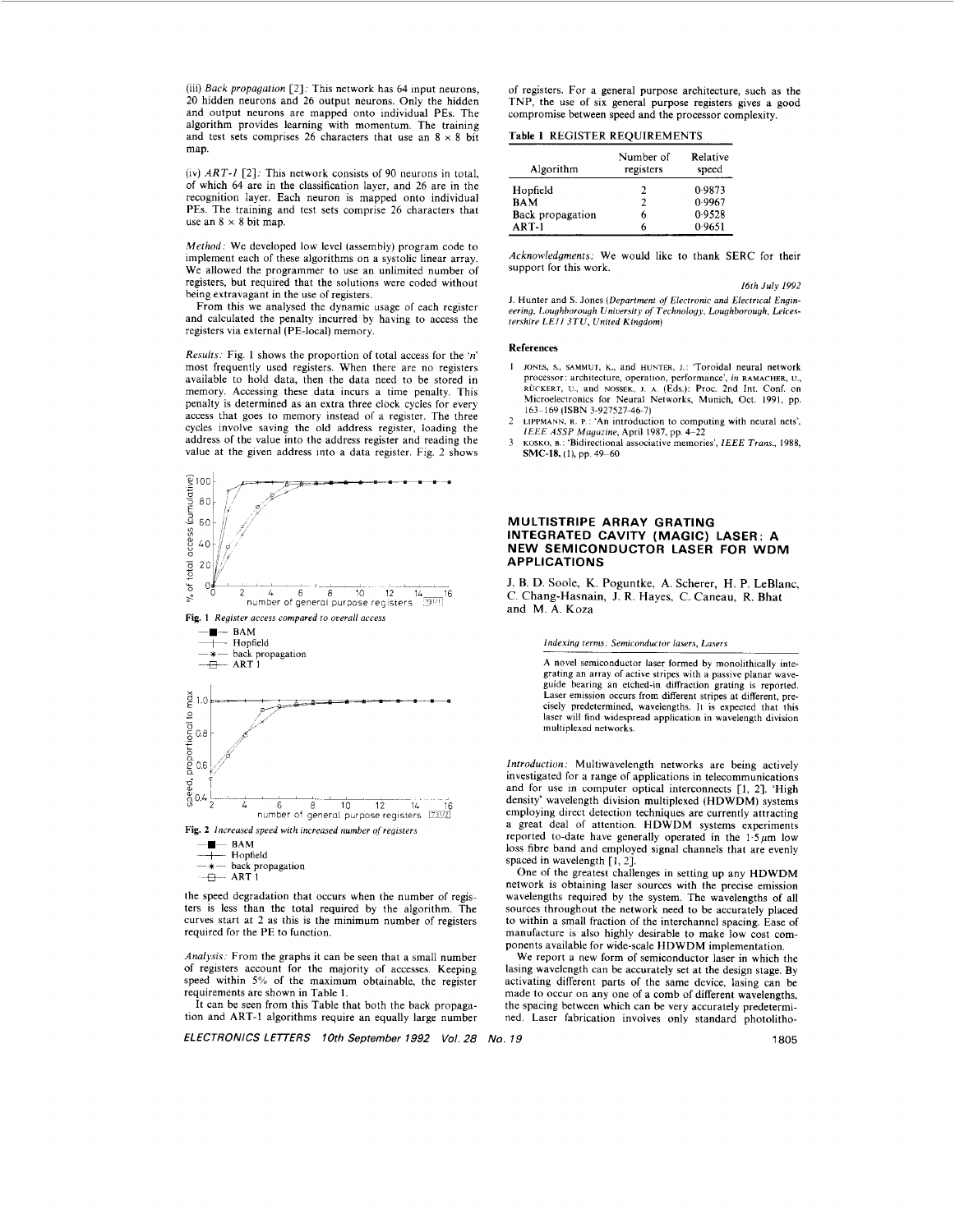(iii) *Back propagation* [2]. This network has 64 input neurons, 20 hidden neurons and 26 output neurons. Only the hidden and output neurons are mapped onto individual PES. The algorithm provides learning with momentum. The training and test sets comprises 26 characters that use an  $8 \times 8$  bit map.

(iv) *ART-1* [2]: This network consists of 90 neurons in total, of which 64 are in the classification layer, and 26 are in the recognition layer. Each neuron is mapped onto individual PEs. The training and test sets comprise 26 characters that use an  $8 \times 8$  bit map.

*Method:* We developed low level (assembly) program code to implement each of these algorithms on a systolic linear array. We allowed the programmer to use an unlimited number of registers, but required that the solutions were coded without being extravagant in the use of registers.

From this we analysed the dynamic usage of each register and calculated the penalty incurred by having to access the registers via external (PE-local) memory.

*Results.* [Fig. 1](#page-1-0) shows the proportion of total access for the *'n'*  most frequently used registers. When there are no registers available to hold data, then the data need to be stored in memory. Accessing these data incurs a time penalty. This penalty is determined as an extra three clock cycles for every access that goes to memory instead of a register. The three cycles involve saving the old address register, loading the address of the value into the address register and reading the value at the given address into a data register. [Fig. 2](#page-1-0) shows





the speed degradation that occurs when the number of registers is less than the total required by the algorithm. The curves start at 2 as this is the minimum number of registers required for the PE to function.

Analysis: From the graphs it can be seen that a small number of registers account for the majority of accesses. Keeping speed within *5%* of the maximum obtainable, the register requirements are shown in Table 1.

It can be seen from this Table that both the back propagation and ART-1 algorithms require an equally large number

*ELECTRONICS LETTERS 10th September 1992 Vol. 28 No. 19* 1805

of registers. For a general purpose architecture, such as the TNP, the use of six general purpose registers gives a good compromise between speed and the processor complexity.

# **Table 1** REGISTER REQUIREMENTS

| Algorithm        | Number of<br>registers | Relative<br>speed |
|------------------|------------------------|-------------------|
| Hopfield         | 2                      | 0.9873            |
| <b>BAM</b>       | 2                      | 0.9967            |
| Back propagation | 6                      | 0.9528            |
| $ART-1$          | 6                      | 0.9651            |

*Acknowledgments.* We would like to thank SERC for their support for this work.

*16th July 1992* 

J. Hunter and **S.** Jones *(Department* of *Electronic and Electrical Engineering, Loughborough Uniuersitp of Technology, Loughborough, Leices-tershire LEI1 3TU, United Kingdom)* 

### References

- I JONES. s., SAMMUI, **K.,** and HUNTER, I.: 'Toroidal neural network processor: architecture, operation, performance', *in* RAMACHER, U.,<br>RÜCKERT, U., and NOSSEK, J. A. (Eds.): Proc. 2nd Int. Conf. on<br>Microelectronics for Neural Networks, Munich, Oct. 1991, pp. 163-169 (ISBN 3-927527-46.7)
- LIPPMANN, R. P.: 'An introduction to computing with neural nets', *IEEE ASSP Magazine*, April 1987, pp. 4–22 2
- **KOSKO,** B.: 'Bidirectional associative memories', *IEEE Truns.,* 1988, **SMC-18**, (1), pp. 49-60 3

### **MULTISTRIPE ARRAY GRATING INTEGRATED CAVITY (MAGIC) LASER: A NEW SEMICONDUCTOR LASER FOR WDM APPLICATIONS**

**J.** B. D. Soole, K. Poguntke, **A.** Scherer, H. P. LeBlanc, C. Chang-Hasnain, J. **R.** Hayes, C. Caneau, **R.** Bhat and  $M$ .  $A$ ,  $K_{0}$ za

*Indexing terms. Semiconductor lasers, Lusers* 

A novel semiconductor laser formed **by** monolithically integrating an array of active stripes with a passive planar waveguide hearing an etched-in diffraction grating is reported. Laser emission occurs from different stripes at different, precisely predetermined, wavelengths. It is expected that this laser will find widespread application in wavelength division multiplexed networks.

*Introduction:* Multiwavelength networks are being actively investigated for a range of applications in telecommunications and for use in computer optical interconnects [l, **21.** 'High density' wavelength division multiplexed (HDWDM) systems employing direct detection techniques are currently attracting a great deal of attention. HDWDM systems experiments reported to-date have generally operated in the  $1.5 \mu m$  low loss fibre band and employed signal channels that are evenly spaced in wavelength [1, 2].

One of the greatest challenges in setting up any HDWDM network is obtaining laser sources with the precise emission wavelengths required by the system. The wavelengths of all sources throughout the network need to be accurately placed to within a small fraction of the interchannel spacing. Ease of manufacture is also highly desirable to make low cost components available for wide-scale HDWDM implementation.

**We** report a new form of semiconductor laser in which the lasing wavelength can be accurately set at the design stage. By activating different parts of the same device, lasing can be made to occur on any one of a comb of different wavelengths, the spacing between which can be very accurately predetermined. Laser fabrication involves only standard photolitho-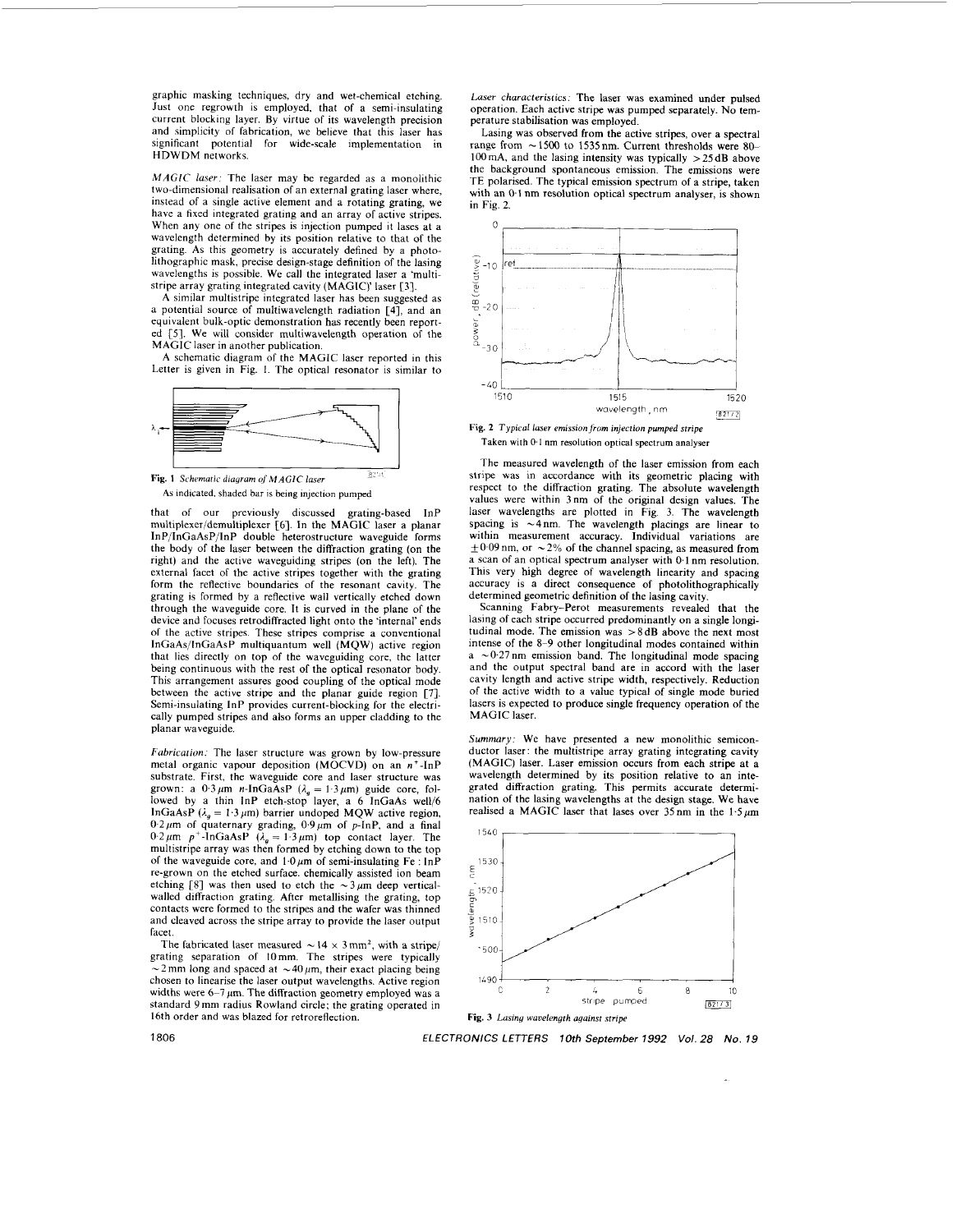<span id="page-1-0"></span>graphic masking techniques, dry and wet-chemical etching. Just one regrowth is employed, that of a semi-insulating current blocking layer. By virtue of its wavelength precision and simplicity of fabrication, we believe that this laser has significant potential for wide-scale implementation in HDWDM networks.

*MAGIC laser*: The laser may be regarded as a monolithic two-dimensional realisation of an external grating laser where, instead of a single active element and a rotating grating, we have a fixed integrated grating and an array of active stripes. When any one of the stripes is injection pumped it lases at a wavelength determined by its position relative to that of the grating. As this geometry is accurately defined by a photolithographic mask, precise design-stage definition of the lasing wavelengths is possible. We call the integrated laser a 'multistripe array grating integrated cavity (MAGIC)' laser [3].

A similar multistripe integrated laser has been suggested as a potential source of multiwavelength radiation **[4],** and an equivalent bulk-optic demonstration has recently been reported [5]. We will consider multiwavelength operation of the MAGIC laser in another publication.

A schematic diagram of the MAGIC laser reported in this Letter is given in Fig. 1. The optical resonator is similar to



**p.** 1 **Fig. 1** Schematic diagram of *MAGIC* laser **As** Indicated. shaded bar **is being** injection pumped

that of our previously discussed grating-based InP multiplexer/demultiplexer [6]. In the MAGIC laser a planar InP/InGaAsP/InP double heterostructure waveguide forms the body of the laser between the diffraction grating (on the right) and the active waveguiding stripes (on the left). The external facet of the active stripes together with the grating form the reflective boundaries of the resonant cavity. The grating is formed by a reflective wall vertically etched down through the waveguide core. It is curved in the plane of the device and focuses retrodiffracted light onto the 'internal' ends of the active stripes. These stripes comprise a conventional InCaAs/lnGaAsP multiquantum well (MQW) active region that lies directly on top of the waveguiding core, the latter being continuous with the rest of the optical resonator body. This arrangement assures good coupling of the optical mode between the active stripe and the planar guide region [7]. Semi-insulating InP provides current-blocking for the electrically pumped stripes and also forms an upper cladding to the planar waveguide.

Fabrication: The laser structure was grown by low-pressure metal organic vapour deposition (MOCVD) on an  $n^+$ -InP substrate. First, the waveguide core and laser structure was grown: a  $0.3 \mu$ m *n*-InGaAsP  $(\lambda_g = 1.3 \mu$ m) guide core, fol-<br>lowed by a thin InP etch-stop layer, a 6 InGaAs well/6 InGaAsP  $(\lambda_g = 1.3 \,\mu\text{m})$  barrier undoped MQW active region,  $0.2 \mu m$  of quaternary grading,  $0.9 \mu m$  of p-InP, and a final  $0.2 \mu m$  p<sup>+</sup>-InGaAsP  $(\lambda_g = 1.3 \mu m)$  top contact layer. The multistripe array was then formed by etching down to the top of the waveguide core, and  $1.0 \mu m$  of semi-insulating Fe : InP re-grown on the etched surface. chemically assisted ion beam etching [8] was then used to etch the  $\sim 3 \mu m$  deep verticalwalled diffraction grating. After metallising the grating, top contacts were formed to the stripes and the wafer was thinned and cleaved across the stripe array to provide the laser output facet.

The fabricated laser measured  $\sim 14 \times 3$  mm<sup>2</sup>, with a stripe/ grating separation of IOmm. The stripes were typically  $-2$  mm long and spaced at  $\sim 40 \,\mu$ m, their exact placing being chosen to linearise the laser output wavelengths. Active region widths were  $6-7 \mu m$ . The diffraction geometry employed was a standard **9** mm radius Rowland circle; the grating operated in 16th order and was blazed for retroreflection.

Laser characteristics: The laser was examined under pulsed operation. Each active stripe was pumped separately. No temperature stabillsation was employed

Lasing was observed from the active stripes, over a spectral range from  $\sim 1500$  to 1535 nm. Current thresholds were  $80-$ 100 mA, and the lasing intensity was typically > 25 **dB** above the background spontaneous emission The emissions were TE polarised. The typical emission spectrum of a stripe, taken with an *0* 1 nm resolution optical spectrum analyser, is shown **in Fig. 2** 



Taken with 0.1 nm resolution optical spectrum analy

The measured wavelength of the laser emission from each stripe was in accordance with its geometric placing with respect to the diffraction grating. The absolute wavelength values were within 3nm of the original design values. The laser wavelengths are plotted in Fig. **3.** The wavelength spacing is  $\sim$  4nm. The wavelength placings are linear to within measurement accuracy. Individual variations are  $\pm$ 0.09 nm, or  $\sim$  2% of the channel spacing, as measured from a scan of an optical spectrum analyser with **0.1** nm resolution, This very high degree of wavelength linearity and spacing accuracy is a direct consequence of photolithographically determined geometric definition of the lasing cavity.

Scanning Fabry-Perot measurements revealed that the lasing of each stripe occurred predominantly on a single **longi**tudinal mode. The emission was >8dB above the next most intense of the 8-9 other longitudinal modes contained within  $a \sim 0.27$  nm emission band. The longitudinal mode spacing and the output spectral band are in accord with the laser cavity length and active stripe width, respectively. Reduction of the active width to a value typical of single mode buried lasers is expected to produce single frequency operation of the MAGIC laser.

Summary: We have presented a new monolithic semiconductor laser: the multistripe array grating integrating cavity (MAGIC) laser. Laser emission occurs from each stripe at a wavelength determined by its position relative to an integrated diffraction grating. This permits accurate determination of the lasing wavelengths at the design stage. We have realised a MAGIC laser that lases over 35 nm in the **1.5 pm** 



I a06 *ELECTRONICS LErrERS* **lOrh** *September 1992 Vol. 28 No. 19*